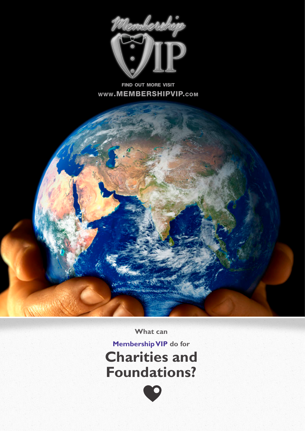

#### find out more visit www.MEMBERSHIPVIP.com



**What can** 

**Membership VIP do for Charities and Foundations?**